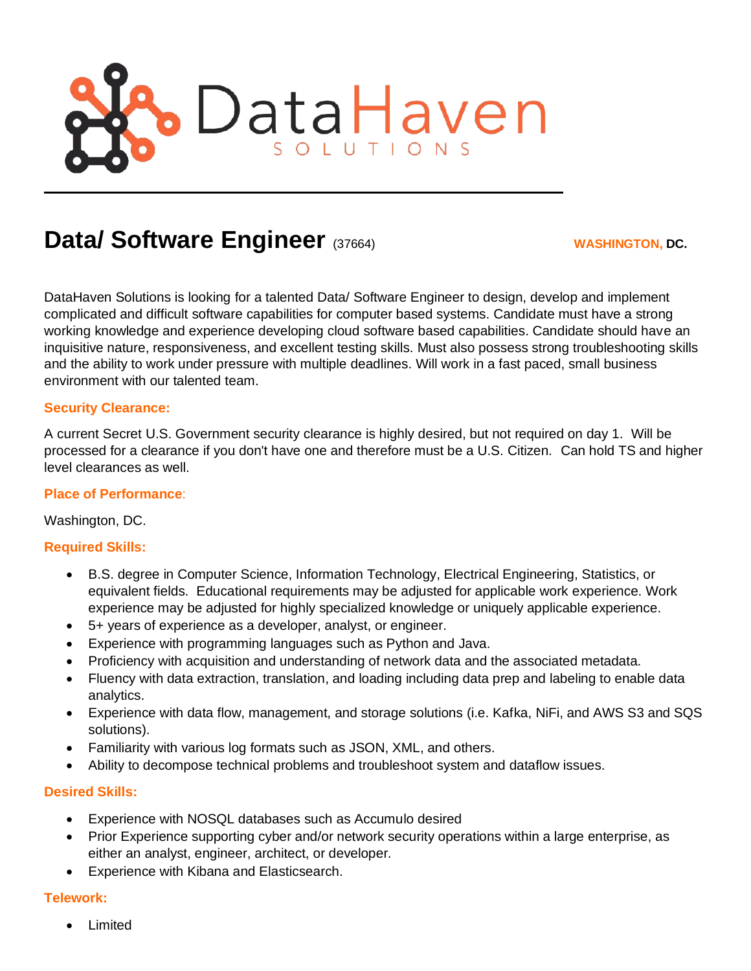

# **Data/ Software Engineer** (37664) **WASHINGTON, DC.**

DataHaven Solutions is looking for a talented Data/ Software Engineer to design, develop and implement complicated and difficult software capabilities for computer based systems. Candidate must have a strong working knowledge and experience developing cloud software based capabilities. Candidate should have an inquisitive nature, responsiveness, and excellent testing skills. Must also possess strong troubleshooting skills and the ability to work under pressure with multiple deadlines. Will work in a fast paced, small business environment with our talented team.

## **Security Clearance:**

A current Secret U.S. Government security clearance is highly desired, but not required on day 1. Will be processed for a clearance if you don't have one and therefore must be a U.S. Citizen. Can hold TS and higher level clearances as well.

#### **Place of Performance**:

Washington, DC.

#### **Required Skills:**

- B.S. degree in Computer Science, Information Technology, Electrical Engineering, Statistics, or equivalent fields. Educational requirements may be adjusted for applicable work experience. Work experience may be adjusted for highly specialized knowledge or uniquely applicable experience.
- 5+ years of experience as a developer, analyst, or engineer.
- Experience with programming languages such as Python and Java.
- Proficiency with acquisition and understanding of network data and the associated metadata.
- Fluency with data extraction, translation, and loading including data prep and labeling to enable data analytics.
- Experience with data flow, management, and storage solutions (i.e. Kafka, NiFi, and AWS S3 and SQS solutions).
- Familiarity with various log formats such as JSON, XML, and others.
- Ability to decompose technical problems and troubleshoot system and dataflow issues.

#### **Desired Skills:**

- Experience with NOSQL databases such as Accumulo desired
- Prior Experience supporting cyber and/or network security operations within a large enterprise, as either an analyst, engineer, architect, or developer.
- Experience with Kibana and Elasticsearch.

#### **Telework:**

**Limited**